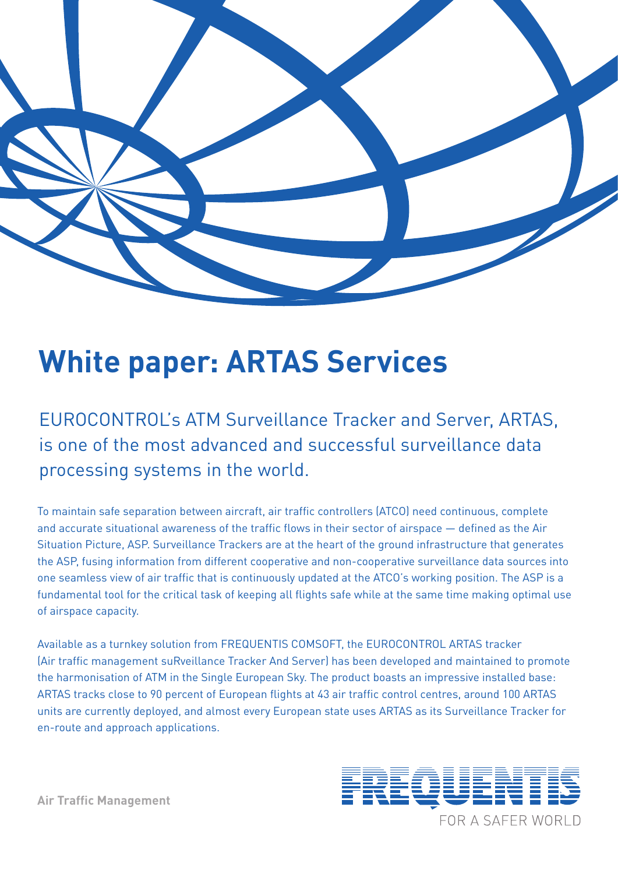

# **White paper: ARTAS Services**

EUROCONTROL's ATM Surveillance Tracker and Server, ARTAS, is one of the most advanced and successful surveillance data processing systems in the world.

To maintain safe separation between aircraft, air traffic controllers (ATCO) need continuous, complete and accurate situational awareness of the traffic flows in their sector of airspace — defined as the Air Situation Picture, ASP. Surveillance Trackers are at the heart of the ground infrastructure that generates the ASP, fusing information from different cooperative and non-cooperative surveillance data sources into one seamless view of air traffic that is continuously updated at the ATCO's working position. The ASP is a fundamental tool for the critical task of keeping all flights safe while at the same time making optimal use of airspace capacity.

Available as a turnkey solution from FREQUENTIS COMSOFT, the EUROCONTROL ARTAS tracker (Air traffic management suRveillance Tracker And Server) has been developed and maintained to promote the harmonisation of ATM in the Single European Sky. The product boasts an impressive installed base: ARTAS tracks close to 90 percent of European flights at 43 air traffic control centres, around 100 ARTAS units are currently deployed, and almost every European state uses ARTAS as its Surveillance Tracker for en-route and approach applications.



**Air Traffic Management**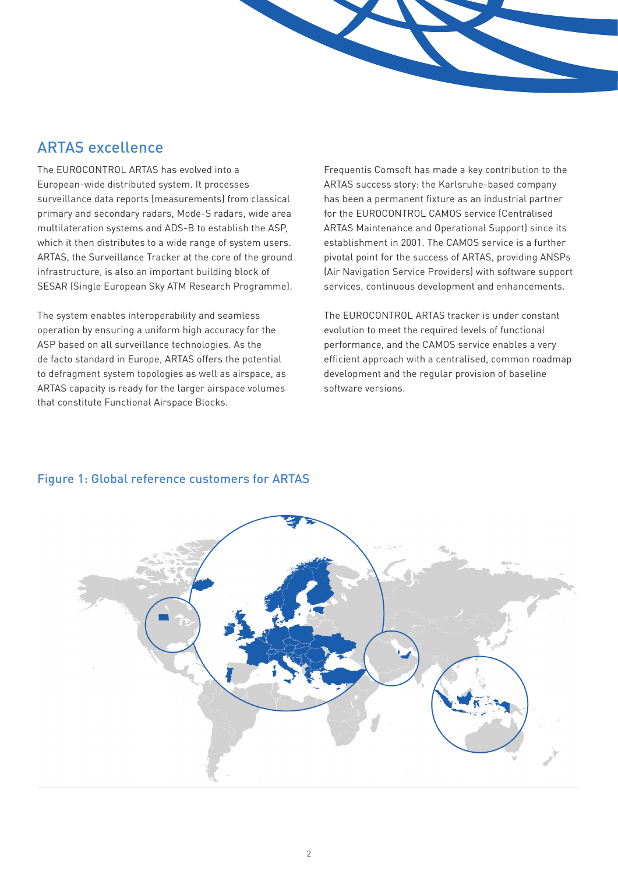### ARTAS excellence

The EUROCONTROL ARTAS has evolved into a European-wide distributed system. It processes surveillance data reports (measurements) from classical primary and secondary radars, Mode-S radars, wide area multilateration systems and ADS-B to establish the ASP, which it then distributes to a wide range of system users. ARTAS, the Surveillance Tracker at the core of the ground infrastructure, is also an important building block of SESAR (Single European Sky ATM Research Programme).

The system enables interoperability and seamless operation by ensuring a uniform high accuracy for the ASP based on all surveillance technologies. As the de facto standard in Europe, ARTAS offers the potential to defragment system topologies as well as airspace, as ARTAS capacity is ready for the larger airspace volumes that constitute Functional Airspace Blocks.

Frequentis Comsoft has made a key contribution to the ARTAS success story: the Karlsruhe-based company has been a permanent fixture as an industrial partner for the EUROCONTROL CAMOS service (Centralised ARTAS Maintenance and Operational Support) since its establishment in 2001. The CAMOS service is a further pivotal point for the success of ARTAS, providing ANSPs (Air Navigation Service Providers) with software support services, continuous development and enhancements.

The EUROCONTROL ARTAS tracker is under constant evolution to meet the required levels of functional performance, and the CAMOS service enables a very efficient approach with a centralised, common roadmap development and the regular provision of baseline software versions.



#### Figure 1: Global reference customers for ARTAS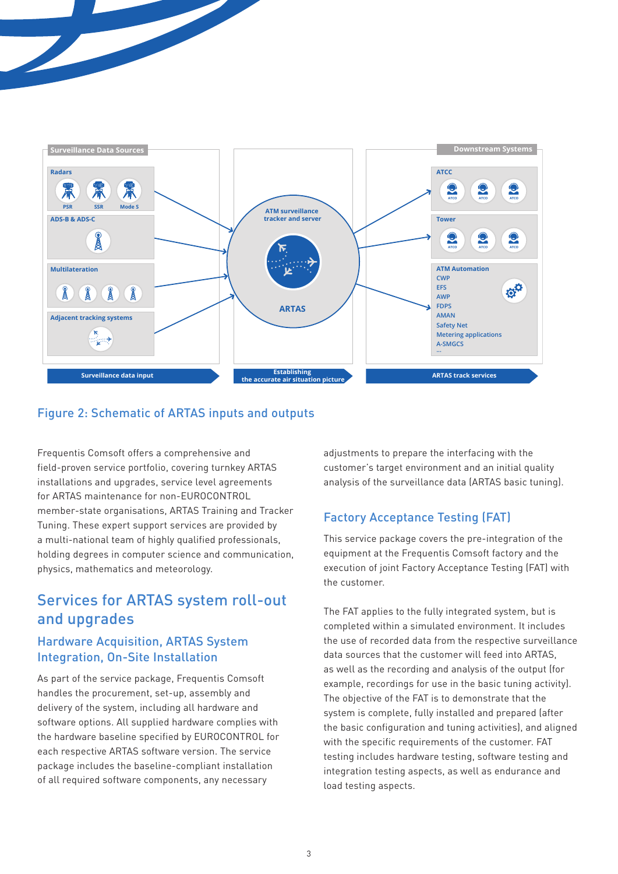

#### Figure 2: Schematic of ARTAS inputs and outputs

Frequentis Comsoft offers a comprehensive and field-proven service portfolio, covering turnkey ARTAS installations and upgrades, service level agreements for ARTAS maintenance for non-EUROCONTROL member-state organisations, ARTAS Training and Tracker Tuning. These expert support services are provided by a multi-national team of highly qualified professionals, holding degrees in computer science and communication, physics, mathematics and meteorology.

# Services for ARTAS system roll-out and upgrades

#### Hardware Acquisition, ARTAS System Integration, On-Site Installation

As part of the service package, Frequentis Comsoft handles the procurement, set-up, assembly and delivery of the system, including all hardware and software options. All supplied hardware complies with the hardware baseline specified by EUROCONTROL for each respective ARTAS software version. The service package includes the baseline-compliant installation of all required software components, any necessary

adjustments to prepare the interfacing with the customer's target environment and an initial quality analysis of the surveillance data (ARTAS basic tuning).

#### Factory Acceptance Testing (FAT)

This service package covers the pre-integration of the equipment at the Frequentis Comsoft factory and the execution of joint Factory Acceptance Testing (FAT) with the customer.

The FAT applies to the fully integrated system, but is completed within a simulated environment. It includes the use of recorded data from the respective surveillance data sources that the customer will feed into ARTAS, as well as the recording and analysis of the output (for example, recordings for use in the basic tuning activity). The objective of the FAT is to demonstrate that the system is complete, fully installed and prepared (after the basic configuration and tuning activities), and aligned with the specific requirements of the customer. FAT testing includes hardware testing, software testing and integration testing aspects, as well as endurance and load testing aspects.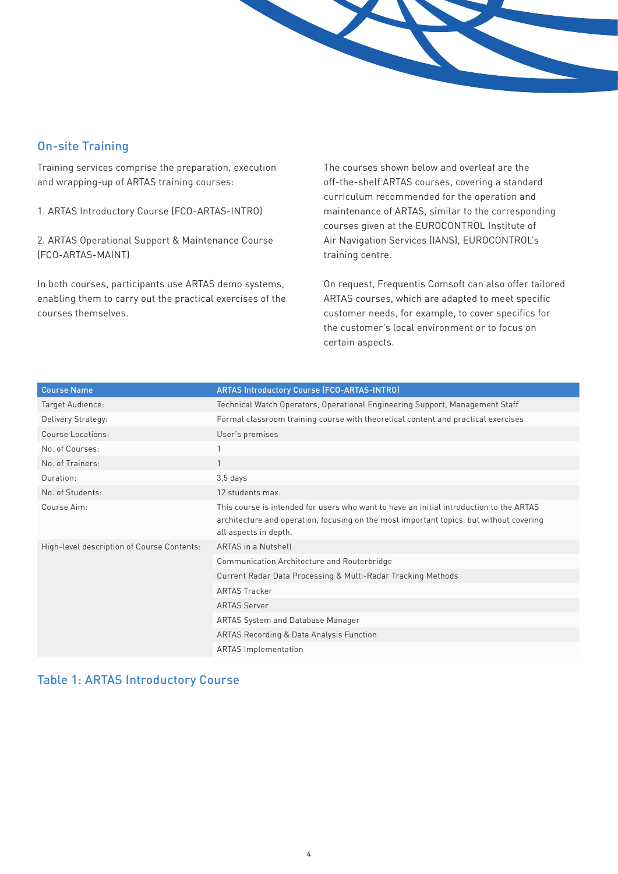

#### On-site Training

Training services comprise the preparation, execution and wrapping-up of ARTAS training courses:

1. ARTAS Introductory Course (FCO-ARTAS-INTRO)

2. ARTAS Operational Support & Maintenance Course (FCO-ARTAS-MAINT)

In both courses, participants use ARTAS demo systems, enabling them to carry out the practical exercises of the courses themselves.

The courses shown below and overleaf are the off-the-shelf ARTAS courses, covering a standard curriculum recommended for the operation and maintenance of ARTAS, similar to the corresponding courses given at the EUROCONTROL Institute of Air Navigation Services (IANS), EUROCONTROL's training centre.

On request, Frequentis Comsoft can also offer tailored ARTAS courses, which are adapted to meet specific customer needs, for example, to cover specifics for the customer's local environment or to focus on certain aspects.

| <b>Course Name</b>                         | <b>ARTAS Introductory Course (FCO-ARTAS-INTRO)</b>                                                                                                                                                          |
|--------------------------------------------|-------------------------------------------------------------------------------------------------------------------------------------------------------------------------------------------------------------|
| Target Audience:                           | Technical Watch Operators, Operational Engineering Support, Management Staff                                                                                                                                |
| Delivery Strategy:                         | Formal classroom training course with theoretical content and practical exercises                                                                                                                           |
| Course Locations:                          | User's premises                                                                                                                                                                                             |
| No. of Courses:                            |                                                                                                                                                                                                             |
| No. of Trainers:                           |                                                                                                                                                                                                             |
| Duration:                                  | $3,5$ days                                                                                                                                                                                                  |
| No. of Students:                           | 12 students max.                                                                                                                                                                                            |
| Course Aim:                                | This course is intended for users who want to have an initial introduction to the ARTAS<br>architecture and operation, focusing on the most important topics, but without covering<br>all aspects in depth. |
| High-level description of Course Contents: | <b>ARTAS</b> in a Nutshell                                                                                                                                                                                  |
|                                            | Communication Architecture and Routerbridge                                                                                                                                                                 |
|                                            | Current Radar Data Processing & Multi-Radar Tracking Methods                                                                                                                                                |
|                                            | <b>ARTAS Tracker</b>                                                                                                                                                                                        |
|                                            | <b>ARTAS Server</b>                                                                                                                                                                                         |
|                                            | ARTAS System and Database Manager                                                                                                                                                                           |
|                                            | <b>ARTAS Recording &amp; Data Analysis Function</b>                                                                                                                                                         |
|                                            | <b>ARTAS</b> Implementation                                                                                                                                                                                 |

#### Table 1: ARTAS Introductory Course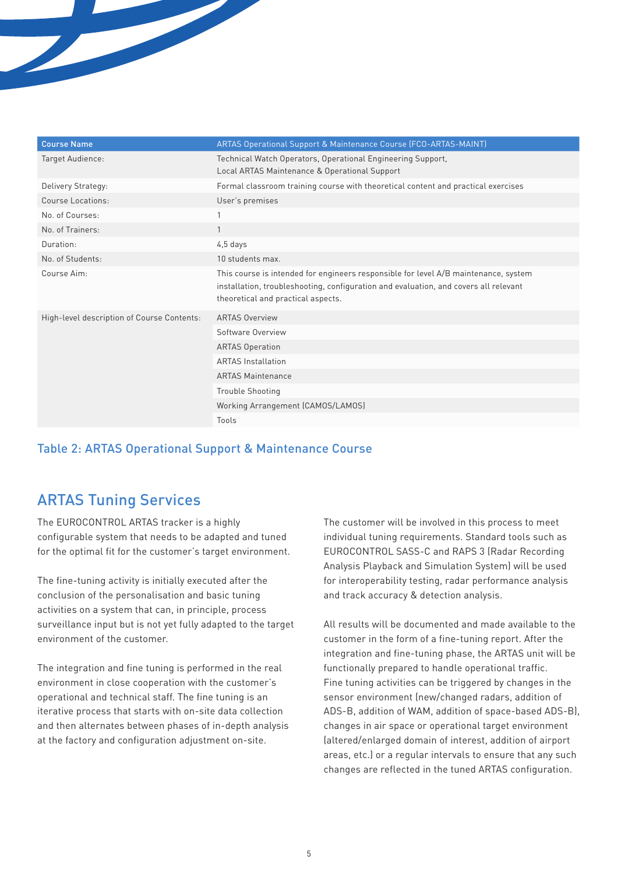| <b>Course Name</b>                         | <b>ARTAS Operational Support &amp; Maintenance Course (FCO-ARTAS-MAINT)</b>                                                                                                                                       |
|--------------------------------------------|-------------------------------------------------------------------------------------------------------------------------------------------------------------------------------------------------------------------|
| Target Audience:                           | Technical Watch Operators, Operational Engineering Support,<br>Local ARTAS Maintenance & Operational Support                                                                                                      |
| Delivery Strategy:                         | Formal classroom training course with theoretical content and practical exercises                                                                                                                                 |
| Course Locations:                          | User's premises                                                                                                                                                                                                   |
| No. of Courses:                            |                                                                                                                                                                                                                   |
| No. of Trainers:                           | $\mathbf{1}$                                                                                                                                                                                                      |
| Duration:                                  | $4,5$ days                                                                                                                                                                                                        |
| No. of Students:                           | 10 students max.                                                                                                                                                                                                  |
| Course Aim:                                | This course is intended for engineers responsible for level A/B maintenance, system<br>installation, troubleshooting, configuration and evaluation, and covers all relevant<br>theoretical and practical aspects. |
| High-level description of Course Contents: | <b>ARTAS Overview</b>                                                                                                                                                                                             |
|                                            | Software Overview                                                                                                                                                                                                 |
|                                            | <b>ARTAS Operation</b>                                                                                                                                                                                            |
|                                            | <b>ARTAS Installation</b>                                                                                                                                                                                         |
|                                            | <b>ARTAS Maintenance</b>                                                                                                                                                                                          |
|                                            | <b>Trouble Shooting</b>                                                                                                                                                                                           |
|                                            | Working Arrangement (CAMOS/LAMOS)                                                                                                                                                                                 |
|                                            | Tools                                                                                                                                                                                                             |

#### Table 2: ARTAS Operational Support & Maintenance Course

# ARTAS Tuning Services

The EUROCONTROL ARTAS tracker is a highly configurable system that needs to be adapted and tuned for the optimal fit for the customer's target environment.

The fine-tuning activity is initially executed after the conclusion of the personalisation and basic tuning activities on a system that can, in principle, process surveillance input but is not yet fully adapted to the target environment of the customer.

The integration and fine tuning is performed in the real environment in close cooperation with the customer's operational and technical staff. The fine tuning is an iterative process that starts with on-site data collection and then alternates between phases of in-depth analysis at the factory and configuration adjustment on-site.

The customer will be involved in this process to meet individual tuning requirements. Standard tools such as EUROCONTROL SASS-C and RAPS 3 (Radar Recording Analysis Playback and Simulation System) will be used for interoperability testing, radar performance analysis and track accuracy & detection analysis.

All results will be documented and made available to the customer in the form of a fine-tuning report. After the integration and fine-tuning phase, the ARTAS unit will be functionally prepared to handle operational traffic. Fine tuning activities can be triggered by changes in the sensor environment (new/changed radars, addition of ADS-B, addition of WAM, addition of space-based ADS-B), changes in air space or operational target environment (altered/enlarged domain of interest, addition of airport areas, etc.) or a regular intervals to ensure that any such changes are reflected in the tuned ARTAS configuration.